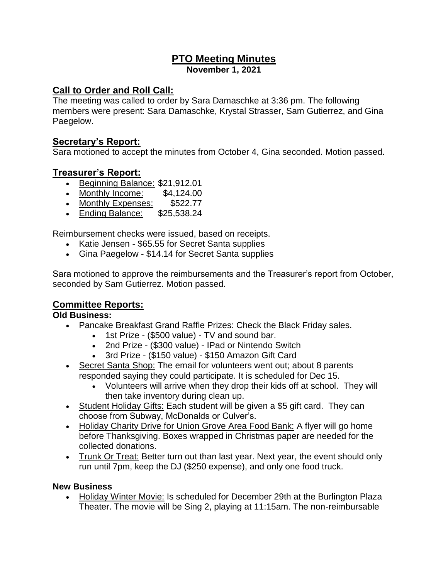## **PTO Meeting Minutes November 1, 2021**

# **Call to Order and Roll Call:**

The meeting was called to order by Sara Damaschke at 3:36 pm. The following members were present: Sara Damaschke, Krystal Strasser, Sam Gutierrez, and Gina Paegelow.

## **Secretary's Report:**

Sara motioned to accept the minutes from October 4, Gina seconded. Motion passed.

### **Treasurer's Report:**

- Beginning Balance: \$21,912.01
- Monthly Income: \$4,124.00
- Monthly Expenses: \$522.77
- Ending Balance: \$25,538.24

Reimbursement checks were issued, based on receipts.

- Katie Jensen \$65.55 for Secret Santa supplies
- Gina Paegelow \$14.14 for Secret Santa supplies

Sara motioned to approve the reimbursements and the Treasurer's report from October, seconded by Sam Gutierrez. Motion passed.

# **Committee Reports:**

### **Old Business:**

- Pancake Breakfast Grand Raffle Prizes: Check the Black Friday sales.
	- 1st Prize (\$500 value) TV and sound bar.
	- 2nd Prize (\$300 value) IPad or Nintendo Switch
	- 3rd Prize (\$150 value) \$150 Amazon Gift Card
- Secret Santa Shop: The email for volunteers went out; about 8 parents responded saying they could participate. It is scheduled for Dec 15.
	- Volunteers will arrive when they drop their kids off at school. They will then take inventory during clean up.
- Student Holiday Gifts: Each student will be given a \$5 gift card. They can choose from Subway, McDonalds or Culver's.
- Holiday Charity Drive for Union Grove Area Food Bank: A flyer will go home before Thanksgiving. Boxes wrapped in Christmas paper are needed for the collected donations.
- Trunk Or Treat: Better turn out than last year. Next year, the event should only run until 7pm, keep the DJ (\$250 expense), and only one food truck.

### **New Business**

• Holiday Winter Movie: Is scheduled for December 29th at the Burlington Plaza Theater. The movie will be Sing 2, playing at 11:15am. The non-reimbursable